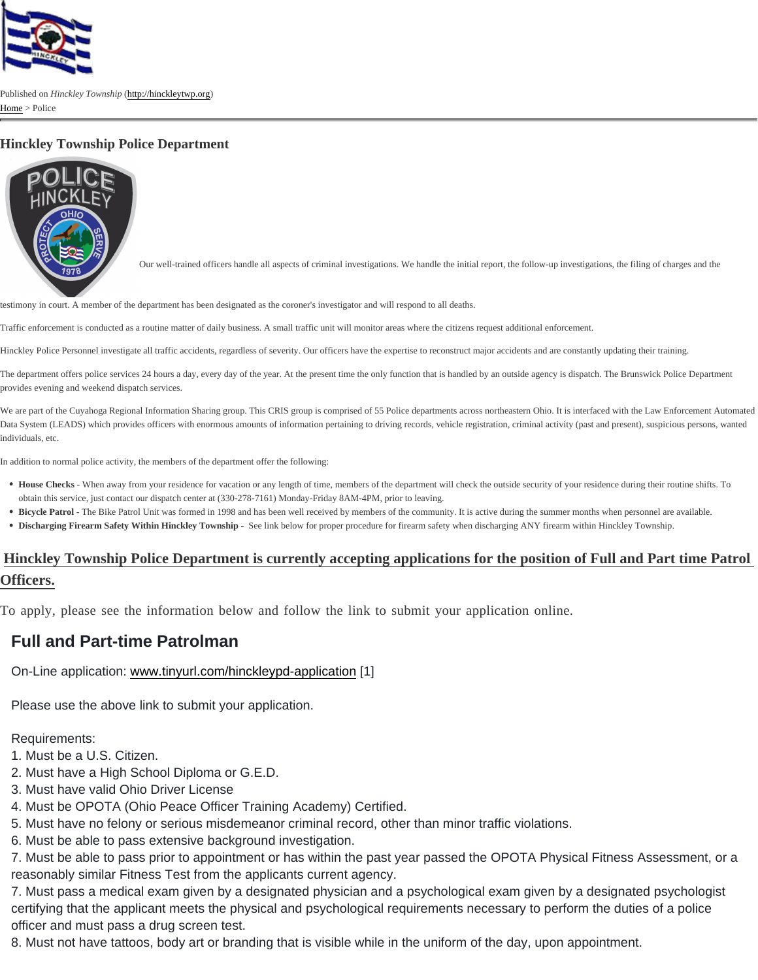## Hinckley Township Police Department

Our well-trained officers handle all aspects of criminal investigations. We handle the initial report, the follow-up investigations, the filing of charges and the

testimony in court. A member of the department has been designated as the coroner's investigator and will respond to all deaths.

Traffic enforcement is conducted as a routine matter of daily business. A small traffic unit will monitor areas where the citizens request additional enforcement.

Hinckley Police Personnel investigate all traffic accidents, regardless of severity. Our officers have the expertise to reconstruct major accidents and are constantly updating their training.

The department offers police services 24 hours a day, every day of the year. At the present time the only function that is handled by an outside agency is dispatch. The Brunswick Police provides evening and weekend dispatch services.

We are part of the Cuyahoga Regional Information Sharing group. This CRIS group is comprised of 55 Police departments across northeastern Ohio. It is interfaced with the Law Enforce Data System (LEADS) which provides officers with enormous amounts of information pertaining to driving records, vehicle registration, criminal activity (past and present), suspicious per individuals, etc.

In addition to normal police activity, the members of the department offer the following:

- . House Checks When away from your residence for vacation or any length of time, members of the department will check the outside security of your residence during their routine s obtain this service, just contact our dispatch center at (330-278-7161) Monday-Friday 8AM-4PM, prior to leaving.
- Bicycle Patrol The Bike Patrol Unit was formed in 1998 and has been well received by members of the community. It is active during the summer months when personnel are available.
- Discharging Firearm Safety Within Hinckley Township See link below for proper procedure for firearm safety when discharging ANY firearm within Hinckley Township.

## Hinckley Township Police Department is currently accepting applications for the position of Full and Part time Patro Officers.

To apply, please see the information below and follow the link to submit your application online.

## Full and Part-time Patrolman

On-Line application: [www.tinyurl.com/hinckleypd-application](http://www.tinyurl.com/hinckleypd-application) [1]

Please use the above link to submit your application.

Requirements:

1. Must be a U.S. Citizen.

- 2. Must have a High School Diploma or G.E.D.
- 3. Must have valid Ohio Driver License
- 4. Must be OPOTA (Ohio Peace Officer Training Academy) Certified.
- 5. Must have no felony or serious misdemeanor criminal record, other than minor traffic violations.
- 6. Must be able to pass extensive background investigation.

7. Must be able to pass prior to appointment or has within the past year passed the OPOTA Physical Fitness Assessment, or a reasonably similar Fitness Test from the applicants current agency.

7. Must pass a medical exam given by a designated physician and a psychological exam given by a designated psychologist certifying that the applicant meets the physical and psychological requirements necessary to perform the duties of a police officer and must pass a drug screen test.

8. Must not have tattoos, body art or branding that is visible while in the uniform of the day, upon appointment.